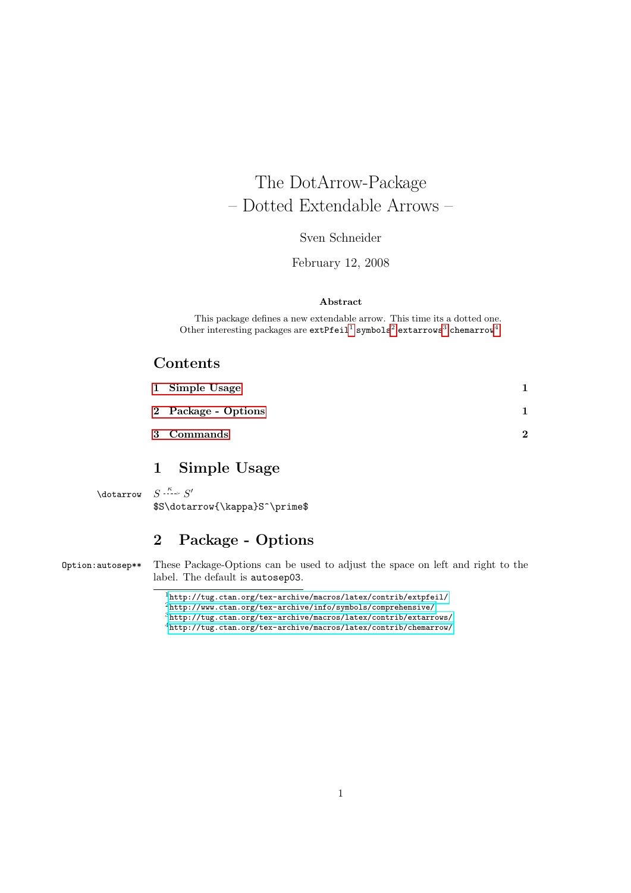The DotArrow-Package – Dotted Extendable Arrows –

Sven Schneider

February 12, 2008

#### Abstract

This package defines a new extendable arrow. This time its a dotted one. Other interesting packages are  $ext{Pfeil}^1$  $ext{Pfeil}^1$  symbols<sup>[2](#page-0-1)</sup> extarrows<sup>[3](#page-0-2)</sup> chemarrow<sup>[4](#page-0-3)</sup>.

#### Contents

| 1 Simple Usage      |             |
|---------------------|-------------|
| 2 Package - Options |             |
| 3 Commands          | $\mathbf 2$ |
|                     |             |

## <span id="page-0-4"></span>1 Simple Usage

 $S \stackrel{\kappa}{\dashrightarrow} S'$ \dotarrow \$S\dotarrow{\kappa}S^\prime\$

## <span id="page-0-5"></span>2 Package - Options

Option:autosep\*\* These Package-Options can be used to adjust the space on left and right to the label. The default is autosep03.

<span id="page-0-0"></span> $^{\rm 1}$ <http://tug.ctan.org/tex-archive/macros/latex/contrib/extpfeil/>

<span id="page-0-1"></span><sup>2</sup><http://www.ctan.org/tex-archive/info/symbols/comprehensive/>

<span id="page-0-2"></span><sup>3</sup><http://tug.ctan.org/tex-archive/macros/latex/contrib/extarrows/>

<span id="page-0-3"></span><sup>4</sup><http://tug.ctan.org/tex-archive/macros/latex/contrib/chemarrow/>